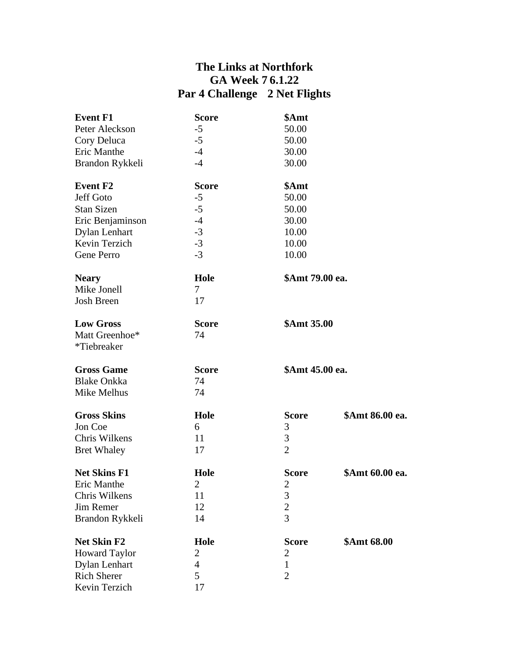## **The Links at Northfork GA Week 7 6.1.22 Par 4 Challenge 2 Net Flights**

| <b>Event F1</b>      | <b>Score</b>   | \$Amt           |                 |
|----------------------|----------------|-----------------|-----------------|
| Peter Aleckson       | $-5$           | 50.00           |                 |
| Cory Deluca          | $-5$           | 50.00           |                 |
| Eric Manthe          | $-4$           | 30.00           |                 |
| Brandon Rykkeli      | $-4$           | 30.00           |                 |
| <b>Event F2</b>      | <b>Score</b>   | \$Amt           |                 |
| Jeff Goto            | $-5$           | 50.00           |                 |
| <b>Stan Sizen</b>    | $-5$           | 50.00           |                 |
| Eric Benjaminson     | $-4$           | 30.00           |                 |
| <b>Dylan Lenhart</b> | $-3$           | 10.00           |                 |
| Kevin Terzich        | $-3$           | 10.00           |                 |
| Gene Perro           | $-3$           | 10.00           |                 |
| <b>Neary</b>         | Hole           | \$Amt 79.00 ea. |                 |
| Mike Jonell          | $\overline{7}$ |                 |                 |
| <b>Josh Breen</b>    | 17             |                 |                 |
| <b>Low Gross</b>     | <b>Score</b>   | \$Amt 35.00     |                 |
| Matt Greenhoe*       | 74             |                 |                 |
| *Tiebreaker          |                |                 |                 |
| <b>Gross Game</b>    | <b>Score</b>   | \$Amt 45.00 ea. |                 |
| <b>Blake Onkka</b>   | 74             |                 |                 |
| Mike Melhus          | 74             |                 |                 |
| <b>Gross Skins</b>   | Hole           | <b>Score</b>    | \$Amt 86.00 ea. |
| Jon Coe              | 6              | 3               |                 |
| Chris Wilkens        | 11             | 3               |                 |
| <b>Bret Whaley</b>   | 17             | $\overline{2}$  |                 |
| <b>Net Skins F1</b>  | Hole           | <b>Score</b>    | \$Amt 60.00 ea. |
| Eric Manthe          | $\overline{2}$ | $\overline{2}$  |                 |
| Chris Wilkens        | 11             | 3               |                 |
| Jim Remer            | 12             | $\overline{c}$  |                 |
| Brandon Rykkeli      | 14             | $\overline{3}$  |                 |
| <b>Net Skin F2</b>   | Hole           | <b>Score</b>    | \$Amt 68.00     |
| <b>Howard Taylor</b> | 2              | $\overline{2}$  |                 |
| <b>Dylan Lenhart</b> | $\overline{4}$ | $\mathbf{1}$    |                 |
| <b>Rich Sherer</b>   | 5              | $\overline{2}$  |                 |
| Kevin Terzich        | 17             |                 |                 |